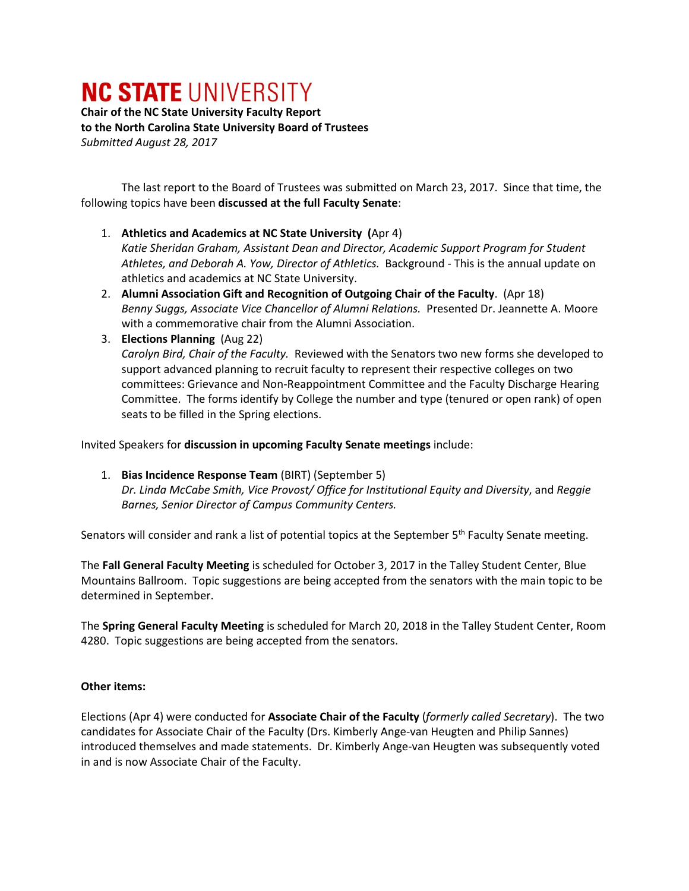## **NC STATE UNIVERSITY**

**Chair of the NC State University Faculty Report to the North Carolina State University Board of Trustees** *Submitted August 28, 2017*

The last report to the Board of Trustees was submitted on March 23, 2017. Since that time, the following topics have been **discussed at the full Faculty Senate**:

## 1. **Athletics and Academics at NC State University (**Apr 4)

*Katie Sheridan Graham, Assistant Dean and Director, Academic Support Program for Student Athletes, and Deborah A. Yow, Director of Athletics.* Background - This is the annual update on athletics and academics at NC State University.

- 2. **Alumni Association Gift and Recognition of Outgoing Chair of the Faculty**. (Apr 18) *Benny Suggs, Associate Vice Chancellor of Alumni Relations.* Presented Dr. Jeannette A. Moore with a commemorative chair from the Alumni Association.
- 3. **Elections Planning** (Aug 22)

*Carolyn Bird, Chair of the Faculty.* Reviewed with the Senators two new forms she developed to support advanced planning to recruit faculty to represent their respective colleges on two committees: Grievance and Non-Reappointment Committee and the Faculty Discharge Hearing Committee. The forms identify by College the number and type (tenured or open rank) of open seats to be filled in the Spring elections.

Invited Speakers for **discussion in upcoming Faculty Senate meetings** include:

1. **Bias Incidence Response Team** (BIRT) (September 5) *Dr. Linda McCabe Smith, Vice Provost/ Office for Institutional Equity and Diversity*, and *Reggie Barnes, Senior Director of Campus Community Centers.*

Senators will consider and rank a list of potential topics at the September 5<sup>th</sup> Faculty Senate meeting.

The **Fall General Faculty Meeting** is scheduled for October 3, 2017 in the Talley Student Center, Blue Mountains Ballroom. Topic suggestions are being accepted from the senators with the main topic to be determined in September.

The **Spring General Faculty Meeting** is scheduled for March 20, 2018 in the Talley Student Center, Room 4280. Topic suggestions are being accepted from the senators.

## **Other items:**

Elections (Apr 4) were conducted for **Associate Chair of the Faculty** (*formerly called Secretary*). The two candidates for Associate Chair of the Faculty (Drs. Kimberly Ange-van Heugten and Philip Sannes) introduced themselves and made statements. Dr. Kimberly Ange-van Heugten was subsequently voted in and is now Associate Chair of the Faculty.